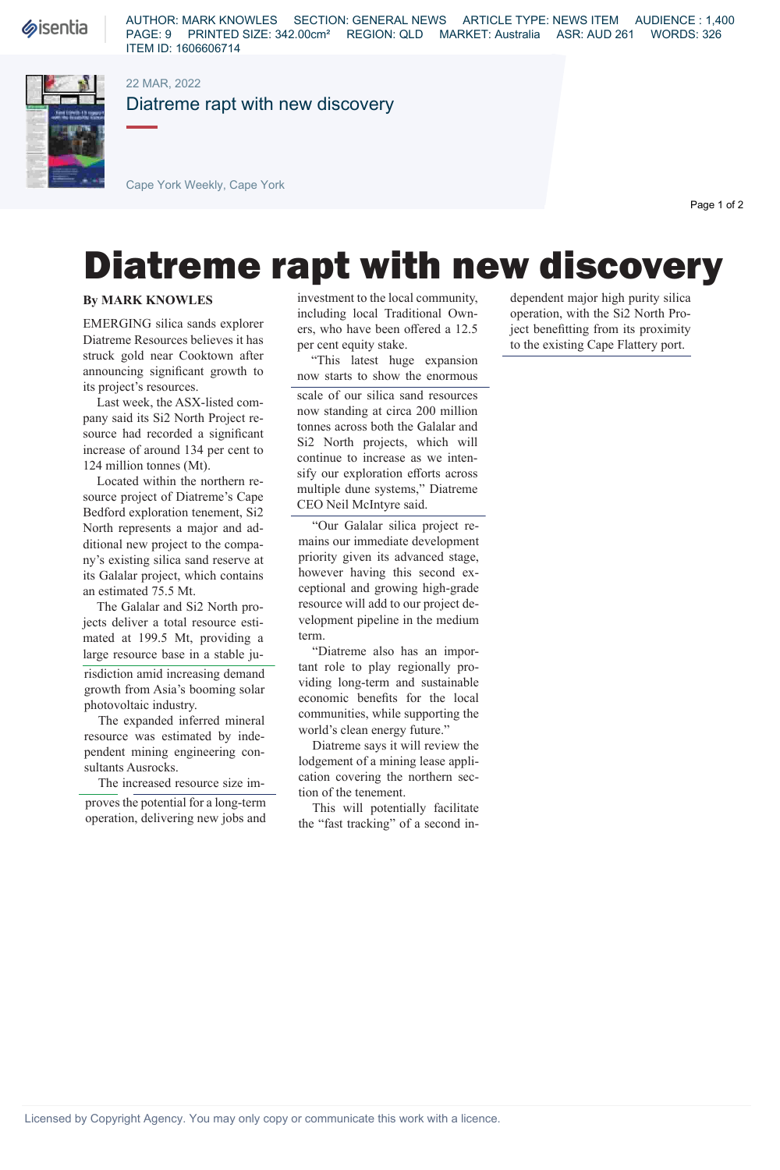**Sisentia** 

AUTHOR: MARK KNOWLES SECTION: GENERAL NEWS ARTICLE TYPE: NEWS ITEM AUDIENCE : 1,400 PAGE: 9 PRINTED SIZE: 342.00cm² REGION: QLD MARKET: Australia ASR: AUD 261 WORDS: 326 ITEM ID: 1606606714



## 22 MAR, 2022

Diatreme rapt with new discovery

Cape York Weekly, Cape York

Page 1 of 2

## Diatreme rapt with new discovery

## **By MARK KNOWLES**

EMERGING silica sands explorer Diatreme Resources believes it has struck gold near Cooktown after announcing significant growth to its project's resources.

Last week, the ASX-listed company said its Si2 North Project resource had recorded a significant increase of around 134 per cent to 124 million tonnes (Mt).

Located within the northern resource project of Diatreme's Cape Bedford exploration tenement, Si2 North represents a major and additional new project to the company's existing silica sand reserve at its Galalar project, which contains an estimated 75.5 Mt.

The Galalar and Si2 North projects deliver a total resource estimated at 199.5 Mt, providing a large resource base in a stable ju-

risdiction amid increasing demand growth from Asia's booming solar photovoltaic industry.

The expanded inferred mineral resource was estimated by independent mining engineering consultants Ausrocks.

The increased resource size im-

proves the potential for a long-term operation, delivering new jobs and investment to the local community, including local Traditional Owners, who have been offered a 12.5 per cent equity stake.

"This latest huge expansion now starts to show the enormous scale of our silica sand resources now standing at circa 200 million tonnes across both the Galalar and Si2 North projects, which will continue to increase as we intensify our exploration efforts across multiple dune systems," Diatreme CEO Neil McIntyre said.

"Our Galalar silica project remains our immediate development priority given its advanced stage, however having this second exceptional and growing high-grade resource will add to our project development pipeline in the medium term.

"Diatreme also has an important role to play regionally providing long-term and sustainable economic benefits for the local communities, while supporting the world's clean energy future."

Diatreme says it will review the lodgement of a mining lease application covering the northern section of the tenement.

This will potentially facilitate the "fast tracking" of a second independent major high purity silica operation, with the Si2 North Project benefitting from its proximity to the existing Cape Flattery port.